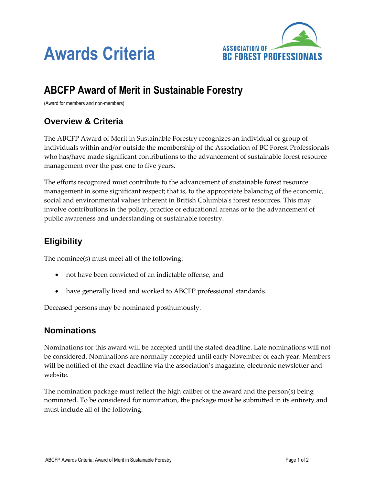



# **ABCFP Award of Merit in Sustainable Forestry**

(Award for members and non-members)

## **Overview & Criteria**

The ABCFP Award of Merit in Sustainable Forestry recognizes an individual or group of individuals within and/or outside the membership of the Association of BC Forest Professionals who has/have made significant contributions to the advancement of sustainable forest resource management over the past one to five years.

The efforts recognized must contribute to the advancement of sustainable forest resource management in some significant respect; that is, to the appropriate balancing of the economic, social and environmental values inherent in British Columbia's forest resources. This may involve contributions in the policy, practice or educational arenas or to the advancement of public awareness and understanding of sustainable forestry.

## **Eligibility**

The nominee(s) must meet all of the following:

- not have been convicted of an indictable offense, and
- have generally lived and worked to ABCFP professional standards.

Deceased persons may be nominated posthumously.

#### **Nominations**

Nominations for this award will be accepted until the stated deadline. Late nominations will not be considered. Nominations are normally accepted until early November of each year. Members will be notified of the exact deadline via the association's magazine, electronic newsletter and website.

The nomination package must reflect the high caliber of the award and the person(s) being nominated. To be considered for nomination, the package must be submitted in its entirety and must include all of the following: